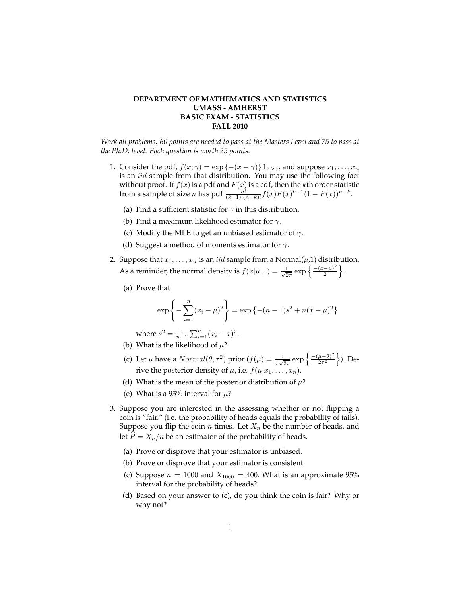## **DEPARTMENT OF MATHEMATICS AND STATISTICS UMASS - AMHERST BASIC EXAM - STATISTICS FALL 2010**

*Work all problems. 60 points are needed to pass at the Masters Level and 75 to pass at the Ph.D. level. Each question is worth 25 points.*

- 1. Consider the pdf,  $f(x; \gamma) = \exp\{-(x \gamma)\}\mathbb{1}_{x > \gamma}$ , and suppose  $x_1, \ldots, x_n$ is an iid sample from that distribution. You may use the following fact without proof. If  $f(x)$  is a pdf and  $F(x)$  is a cdf, then the  $k$ th order statistic from a sample of size *n* has pdf  $\frac{n!}{(k-1)!(n-k)!}f(x)F(x)^{k-1}(1-F(x))^{n-k}$ .
	- (a) Find a sufficient statistic for  $\gamma$  in this distribution.
	- (b) Find a maximum likelihood estimator for  $\gamma$ .
	- (c) Modify the MLE to get an unbiased estimator of  $\gamma$ .
	- (d) Suggest a method of moments estimator for  $\gamma$ .
- 2. Suppose that  $x_1, \ldots, x_n$  is an *iid* sample from a Normal $(\mu, 1)$  distribution. As a reminder, the normal density is  $f(x|\mu, 1) = \frac{1}{\sqrt{2}}$  $\frac{1}{2\pi} \exp \left\{ \frac{-(x-\mu)^2}{2} \right\}$  $\frac{(-\mu)^2}{2}$ .
	- (a) Prove that

$$
\exp\left\{-\sum_{i=1}^{n}(x_i-\mu)^2\right\} = \exp\left\{-(n-1)s^2 + n(\overline{x}-\mu)^2\right\}
$$

where  $s^2 = \frac{1}{n-1} \sum_{i=1}^n (x_i - \overline{x})^2$ .

- (b) What is the likelihood of  $\mu$ ?
- (c) Let  $\mu$  have a  $Normal(\theta, \tau^2)$  prior  $(f(\mu)) = \frac{1}{\tau\sqrt{2\pi}} \exp\left\{\frac{-(\mu-\theta)^2}{2\tau^2}\right\}$  $\frac{\mu-\theta)^2}{2\tau^2}\big\}$ ). Derive the posterior density of  $\mu$ , i.e.  $f(\mu|x_1,\ldots,x_n)$ .
- (d) What is the mean of the posterior distribution of  $\mu$ ?
- (e) What is a 95% interval for  $\mu$ ?
- 3. Suppose you are interested in the assessing whether or not flipping a coin is "fair." (i.e. the probability of heads equals the probability of tails). Suppose you flip the coin *n* times. Let  $X_n$  be the number of heads, and let  $P = X_n/n$  be an estimator of the probability of heads.
	- (a) Prove or disprove that your estimator is unbiased.
	- (b) Prove or disprove that your estimator is consistent.
	- (c) Suppose  $n = 1000$  and  $X_{1000} = 400$ . What is an approximate 95% interval for the probability of heads?
	- (d) Based on your answer to (c), do you think the coin is fair? Why or why not?